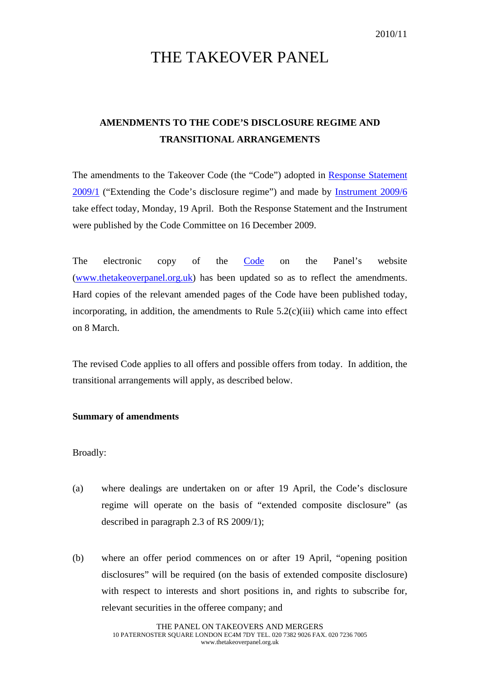# THE TAKEOVER PANEL

## **AMENDMENTS TO THE CODE'S DISCLOSURE REGIME AND TRANSITIONAL ARRANGEMENTS**

The amendments to the Takeover Code (the "Code") adopted in [Response Statement](http://www.thetakeoverpanel.org.uk/wp-content/uploads/2008/11/RS200901.pdf)  [2009/1](http://www.thetakeoverpanel.org.uk/wp-content/uploads/2008/11/RS200901.pdf) ("Extending the Code's disclosure regime") and made by [Instrument 2009/6](http://www.thetakeoverpanel.org.uk/wp-content/uploads/2008/11/Instrument-2009-6.pdf) take effect today, Monday, 19 April. Both the Response Statement and the Instrument were published by the Code Committee on 16 December 2009.

The electronic copy of the **Code** on the Panel's website ([www.thetakeoverpanel.org.uk\)](http://www.thetakeoverpanel.org.uk/) has been updated so as to reflect the amendments. Hard copies of the relevant amended pages of the Code have been published today, incorporating, in addition, the amendments to Rule  $5.2(c)(iii)$  which came into effect on 8 March.

The revised Code applies to all offers and possible offers from today. In addition, the transitional arrangements will apply, as described below.

### **Summary of amendments**

Broadly:

- (a) where dealings are undertaken on or after 19 April, the Code's disclosure regime will operate on the basis of "extended composite disclosure" (as described in paragraph 2.3 of RS 2009/1);
- (b) where an offer period commences on or after 19 April, "opening position disclosures" will be required (on the basis of extended composite disclosure) with respect to interests and short positions in, and rights to subscribe for, relevant securities in the offeree company; and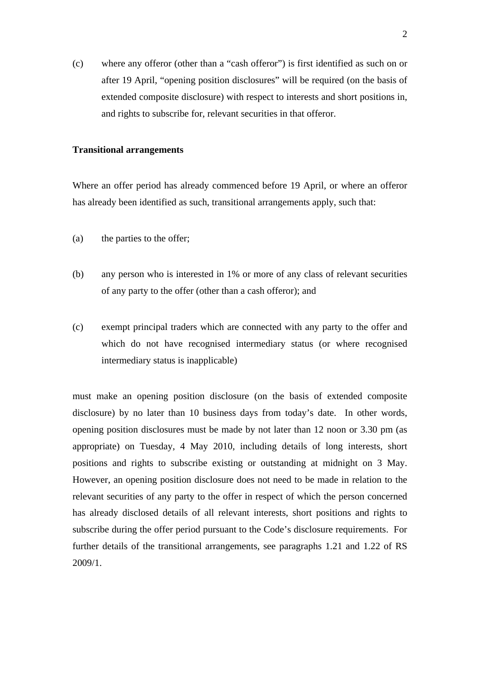(c) where any offeror (other than a "cash offeror") is first identified as such on or after 19 April, "opening position disclosures" will be required (on the basis of extended composite disclosure) with respect to interests and short positions in, and rights to subscribe for, relevant securities in that offeror.

#### **Transitional arrangements**

Where an offer period has already commenced before 19 April, or where an offeror has already been identified as such, transitional arrangements apply, such that:

- (a) the parties to the offer;
- (b) any person who is interested in 1% or more of any class of relevant securities of any party to the offer (other than a cash offeror); and
- (c) exempt principal traders which are connected with any party to the offer and which do not have recognised intermediary status (or where recognised intermediary status is inapplicable)

must make an opening position disclosure (on the basis of extended composite disclosure) by no later than 10 business days from today's date. In other words, opening position disclosures must be made by not later than 12 noon or 3.30 pm (as appropriate) on Tuesday, 4 May 2010, including details of long interests, short positions and rights to subscribe existing or outstanding at midnight on 3 May. However, an opening position disclosure does not need to be made in relation to the relevant securities of any party to the offer in respect of which the person concerned has already disclosed details of all relevant interests, short positions and rights to subscribe during the offer period pursuant to the Code's disclosure requirements. For further details of the transitional arrangements, see paragraphs 1.21 and 1.22 of RS 2009/1.